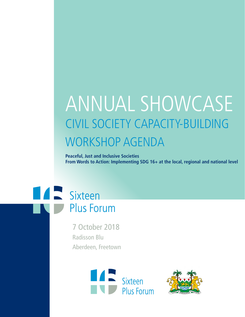# ANNUAL SHOWCASE CIVIL SOCIETY CAPACITY-BUILDING WORKSHOP AGENDA

**Peaceful, Just and Inclusive Societies From Words to Action: Implementing SDG 16+ at the local, regional and national level**



7 October 2018 Radisson Blu Aberdeen, Freetown



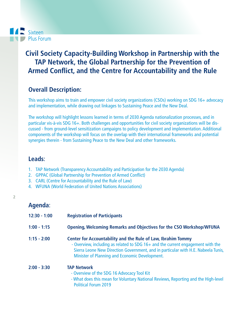

# **Civil Society Capacity-Building Workshop in Partnership with the TAP Network, the Global Partnership for the Prevention of Armed Confict, and the Centre for Accountability and the Rule**

## **Overall Description:**

This workshop aims to train and empower civil society organizations (CSOs) working on SDG 16+ advocacy and implementation, while drawing out linkages to Sustaining Peace and the New Deal.

The workshop will highlight lessons learned in terms of 2030 Agenda nationalization processes, and in particular vis-à-vis SDG 16+. Both challenges and opportunities for civil society organizations will be discussed - from ground-level sensitization campaigns to policy development and implementation. Additional components of the workshop will focus on the overlap with their international frameworks and potential synergies therein - from Sustaining Peace to the New Deal and other frameworks.

### **Leads**:

- 1. TAP Network (Transparency Accountability and Participation for the 2030 Agenda)
- 2. GPPAC (Global Partnership for Prevention of Armed Confict)
- 3. CARL (Centre for Accountability and the Rule of Law)
- 4. WFUNA (World Federation of United Nations Associations)

## **Agenda**:

| $12:30 - 1:00$ | <b>Registration of Participants</b>                                                                                                                                                                                                                                                           |
|----------------|-----------------------------------------------------------------------------------------------------------------------------------------------------------------------------------------------------------------------------------------------------------------------------------------------|
| $1:00 - 1:15$  | <b>Opening, Welcoming Remarks and Objectives for the CSO Workshop/WFUNA</b>                                                                                                                                                                                                                   |
| $1:15 - 2:00$  | <b>Center for Accountability and the Rule of Law, Ibrahim Tommy</b><br>- Overview, including as related to SDG 16+ and the current engagement with the<br>Sierra Leone New Direction Government, and in particular with H.E. Nabeela Tunis,<br>Minister of Planning and Economic Development. |
| $2:00 - 3:30$  | <b>TAP Network</b><br>- Overview of the SDG 16 Advocacy Tool Kit<br>- What does this mean for Voluntary National Reviews, Reporting and the High-level<br><b>Political Forum 2019</b>                                                                                                         |